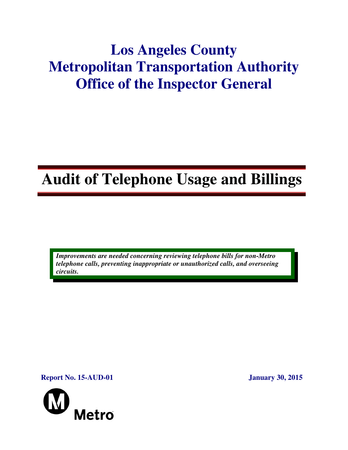# **Los Angeles County Metropolitan Transportation Authority Office of the Inspector General**

# **Audit of Telephone Usage and Billings**

*Improvements are needed concerning reviewing telephone bills for non-Metro telephone calls, preventing inappropriate or unauthorized calls, and overseeing circuits.* 

**Report No. 15-AUD-01 January 30, 2015**

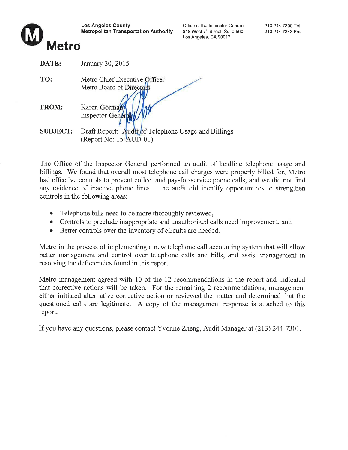

**Metro** 



| DATE:           | January 30, 2015                                          |
|-----------------|-----------------------------------------------------------|
| TO:             | Metro Chief Executive Officer<br>Metro Board of Directors |
| <b>FROM:</b>    | Karen Gorman<br><b>Inspector Genera</b>                   |
| <b>SUBJECT:</b> | Draft Report: Audit of Telephone Usage and Billings       |
|                 | (Report No: 15-AUD-01)                                    |

The Office of the Inspector General performed an audit of landline telephone usage and billings. We found that overall most telephone call charges were properly billed for, Metro had effective controls to prevent collect and pay-for-service phone calls, and we did not find any evidence of inactive phone lines. The audit did identify opportunities to strengthen controls in the following areas:

- Telephone bills need to be more thoroughly reviewed,
- Controls to preclude inappropriate and unauthorized calls need improvement, and
- Better controls over the inventory of circuits are needed.  $\bullet$

Metro in the process of implementing a new telephone call accounting system that will allow better management and control over telephone calls and bills, and assist management in resolving the deficiencies found in this report.

Metro management agreed with 10 of the 12 recommendations in the report and indicated that corrective actions will be taken. For the remaining 2 recommendations, management either initiated alternative corrective action or reviewed the matter and determined that the questioned calls are legitimate. A copy of the management response is attached to this report.

If you have any questions, please contact Yvonne Zheng, Audit Manager at (213) 244-7301.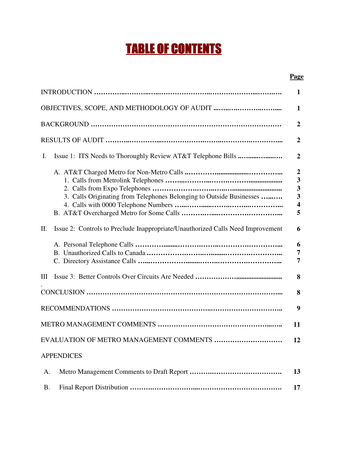# TABLE OF CONTENTS

### **Page**

|                                                                                       | $\mathbf{1}$                                                                                                |  |  |
|---------------------------------------------------------------------------------------|-------------------------------------------------------------------------------------------------------------|--|--|
|                                                                                       |                                                                                                             |  |  |
|                                                                                       | $\overline{2}$                                                                                              |  |  |
|                                                                                       | $\overline{2}$                                                                                              |  |  |
| I.                                                                                    | $\overline{2}$                                                                                              |  |  |
| 3. Calls Originating from Telephones Belonging to Outside Businesses                  | $\boldsymbol{2}$<br>$\overline{\mathbf{3}}$<br>3<br>$\overline{\mathbf{3}}$<br>$\overline{\mathbf{4}}$<br>5 |  |  |
| Issue 2: Controls to Preclude Inappropriate/Unauthorized Calls Need Improvement<br>П. | 6                                                                                                           |  |  |
|                                                                                       | 6<br>7<br>7                                                                                                 |  |  |
| Ш                                                                                     | 8                                                                                                           |  |  |
|                                                                                       | 8                                                                                                           |  |  |
|                                                                                       | 9                                                                                                           |  |  |
|                                                                                       | 11                                                                                                          |  |  |
| EVALUATION OF METRO MANAGEMENT COMMENTS                                               | 12                                                                                                          |  |  |
| <b>APPENDICES</b>                                                                     |                                                                                                             |  |  |
| A.                                                                                    | 13                                                                                                          |  |  |
| <b>B.</b>                                                                             | 17                                                                                                          |  |  |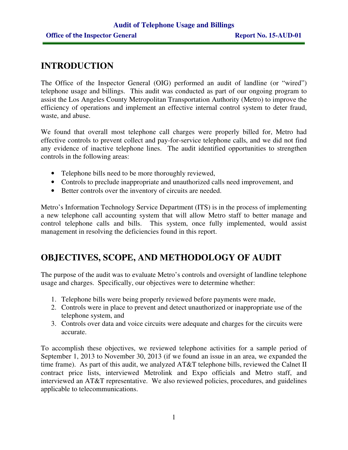# **INTRODUCTION**

The Office of the Inspector General (OIG) performed an audit of landline (or "wired") telephone usage and billings. This audit was conducted as part of our ongoing program to assist the Los Angeles County Metropolitan Transportation Authority (Metro) to improve the efficiency of operations and implement an effective internal control system to deter fraud, waste, and abuse.

We found that overall most telephone call charges were properly billed for, Metro had effective controls to prevent collect and pay-for-service telephone calls, and we did not find any evidence of inactive telephone lines. The audit identified opportunities to strengthen controls in the following areas:

- Telephone bills need to be more thoroughly reviewed,
- Controls to preclude inappropriate and unauthorized calls need improvement, and
- Better controls over the inventory of circuits are needed.

Metro's Information Technology Service Department (ITS) is in the process of implementing a new telephone call accounting system that will allow Metro staff to better manage and control telephone calls and bills. This system, once fully implemented, would assist management in resolving the deficiencies found in this report.

# **OBJECTIVES, SCOPE, AND METHODOLOGY OF AUDIT**

The purpose of the audit was to evaluate Metro's controls and oversight of landline telephone usage and charges. Specifically, our objectives were to determine whether:

- 1. Telephone bills were being properly reviewed before payments were made,
- 2. Controls were in place to prevent and detect unauthorized or inappropriate use of the telephone system, and
- 3. Controls over data and voice circuits were adequate and charges for the circuits were accurate.

To accomplish these objectives, we reviewed telephone activities for a sample period of September 1, 2013 to November 30, 2013 (if we found an issue in an area, we expanded the time frame). As part of this audit, we analyzed AT&T telephone bills, reviewed the Calnet II contract price lists, interviewed Metrolink and Expo officials and Metro staff, and interviewed an AT&T representative. We also reviewed policies, procedures, and guidelines applicable to telecommunications.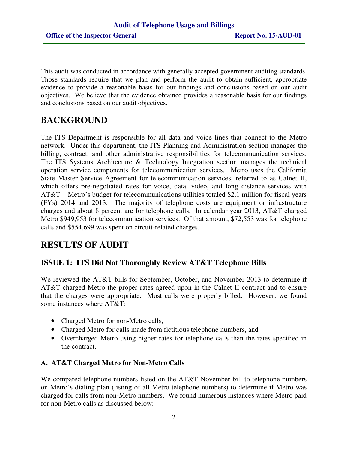This audit was conducted in accordance with generally accepted government auditing standards. Those standards require that we plan and perform the audit to obtain sufficient, appropriate evidence to provide a reasonable basis for our findings and conclusions based on our audit objectives. We believe that the evidence obtained provides a reasonable basis for our findings and conclusions based on our audit objectives.

# **BACKGROUND**

The ITS Department is responsible for all data and voice lines that connect to the Metro network. Under this department, the ITS Planning and Administration section manages the billing, contract, and other administrative responsibilities for telecommunication services. The ITS Systems Architecture & Technology Integration section manages the technical operation service components for telecommunication services. Metro uses the California State Master Service Agreement for telecommunication services, referred to as Calnet II, which offers pre-negotiated rates for voice, data, video, and long distance services with AT&T. Metro's budget for telecommunications utilities totaled \$2.1 million for fiscal years (FYs) 2014 and 2013. The majority of telephone costs are equipment or infrastructure charges and about 8 percent are for telephone calls. In calendar year 2013, AT&T charged Metro \$949,953 for telecommunication services. Of that amount, \$72,553 was for telephone calls and \$554,699 was spent on circuit-related charges.

# **RESULTS OF AUDIT**

## **ISSUE 1: ITS Did Not Thoroughly Review AT&T Telephone Bills**

We reviewed the AT&T bills for September, October, and November 2013 to determine if AT&T charged Metro the proper rates agreed upon in the Calnet II contract and to ensure that the charges were appropriate. Most calls were properly billed. However, we found some instances where AT&T:

- Charged Metro for non-Metro calls,
- Charged Metro for calls made from fictitious telephone numbers, and
- Overcharged Metro using higher rates for telephone calls than the rates specified in the contract.

### **A. AT&T Charged Metro for Non-Metro Calls**

We compared telephone numbers listed on the AT&T November bill to telephone numbers on Metro's dialing plan (listing of all Metro telephone numbers) to determine if Metro was charged for calls from non-Metro numbers. We found numerous instances where Metro paid for non-Metro calls as discussed below: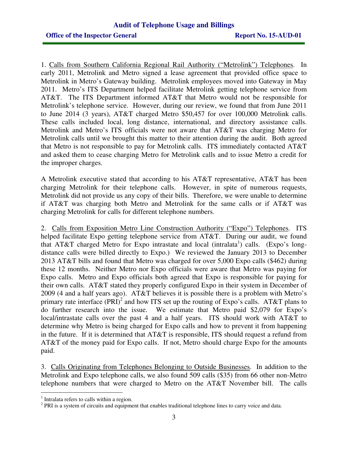1. Calls from Southern California Regional Rail Authority ("Metrolink") Telephones. In early 2011, Metrolink and Metro signed a lease agreement that provided office space to Metrolink in Metro's Gateway building. Metrolink employees moved into Gateway in May 2011. Metro's ITS Department helped facilitate Metrolink getting telephone service from AT&T. The ITS Department informed AT&T that Metro would not be responsible for Metrolink's telephone service. However, during our review, we found that from June 2011 to June 2014 (3 years), AT&T charged Metro \$50,457 for over 100,000 Metrolink calls. These calls included local, long distance, international, and directory assistance calls. Metrolink and Metro's ITS officials were not aware that AT&T was charging Metro for Metrolink calls until we brought this matter to their attention during the audit. Both agreed that Metro is not responsible to pay for Metrolink calls. ITS immediately contacted AT&T and asked them to cease charging Metro for Metrolink calls and to issue Metro a credit for the improper charges.

A Metrolink executive stated that according to his AT&T representative, AT&T has been charging Metrolink for their telephone calls. However, in spite of numerous requests, Metrolink did not provide us any copy of their bills. Therefore, we were unable to determine if AT&T was charging both Metro and Metrolink for the same calls or if AT&T was charging Metrolink for calls for different telephone numbers.

2. Calls from Exposition Metro Line Construction Authority ("Expo") Telephones. ITS helped facilitate Expo getting telephone service from AT&T. During our audit, we found that AT&T charged Metro for Expo intrastate and local (intralata<sup>1</sup>) calls. (Expo's longdistance calls were billed directly to Expo.) We reviewed the January 2013 to December 2013 AT&T bills and found that Metro was charged for over 5,000 Expo calls (\$462) during these 12 months. Neither Metro nor Expo officials were aware that Metro was paying for Expo calls. Metro and Expo officials both agreed that Expo is responsible for paying for their own calls. AT&T stated they properly configured Expo in their system in December of 2009 (4 and a half years ago). AT&T believes it is possible there is a problem with Metro's primary rate interface  $(PRI)^2$  and how ITS set up the routing of Expo's calls. AT&T plans to do further research into the issue. We estimate that Metro paid \$2,079 for Expo's local/intrastate calls over the past 4 and a half years. ITS should work with AT&T to determine why Metro is being charged for Expo calls and how to prevent it from happening in the future. If it is determined that AT&T is responsible, ITS should request a refund from AT&T of the money paid for Expo calls. If not, Metro should charge Expo for the amounts paid.

3. Calls Originating from Telephones Belonging to Outside Businesses. In addition to the Metrolink and Expo telephone calls, we also found 509 calls (\$35) from 66 other non-Metro telephone numbers that were charged to Metro on the AT&T November bill. The calls

 1 Intralata refers to calls within a region.

 $2$  PRI is a system of circuits and equipment that enables traditional telephone lines to carry voice and data.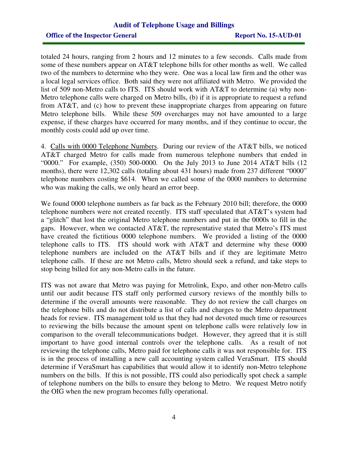## **Audit of Telephone Usage and Billings Office of the Inspector General Report No. 15-AUD-01**

totaled 24 hours, ranging from 2 hours and 12 minutes to a few seconds. Calls made from some of these numbers appear on AT&T telephone bills for other months as well. We called two of the numbers to determine who they were. One was a local law firm and the other was a local legal services office. Both said they were not affiliated with Metro. We provided the list of 509 non-Metro calls to ITS. ITS should work with AT&T to determine (a) why non-Metro telephone calls were charged on Metro bills, (b) if it is appropriate to request a refund from AT&T, and (c) how to prevent these inappropriate charges from appearing on future Metro telephone bills. While these 509 overcharges may not have amounted to a large expense, if these charges have occurred for many months, and if they continue to occur, the monthly costs could add up over time.

4. Calls with 0000 Telephone Numbers. During our review of the AT&T bills, we noticed AT&T charged Metro for calls made from numerous telephone numbers that ended in "0000." For example, (350) 500-0000. On the July 2013 to June 2014 AT&T bills (12 months), there were 12,302 calls (totaling about 431 hours) made from 237 different "0000" telephone numbers costing \$614. When we called some of the 0000 numbers to determine who was making the calls, we only heard an error beep.

We found 0000 telephone numbers as far back as the February 2010 bill; therefore, the 0000 telephone numbers were not created recently. ITS staff speculated that AT&T's system had a "glitch" that lost the original Metro telephone numbers and put in the 0000s to fill in the gaps. However, when we contacted AT&T, the representative stated that Metro's ITS must have created the fictitious 0000 telephone numbers. We provided a listing of the 0000 telephone calls to ITS. ITS should work with AT&T and determine why these 0000 telephone numbers are included on the AT&T bills and if they are legitimate Metro telephone calls. If these are not Metro calls, Metro should seek a refund, and take steps to stop being billed for any non-Metro calls in the future.

ITS was not aware that Metro was paying for Metrolink, Expo, and other non-Metro calls until our audit because ITS staff only performed cursory reviews of the monthly bills to determine if the overall amounts were reasonable. They do not review the call charges on the telephone bills and do not distribute a list of calls and charges to the Metro department heads for review. ITS management told us that they had not devoted much time or resources to reviewing the bills because the amount spent on telephone calls were relatively low in comparison to the overall telecommunications budget. However, they agreed that it is still important to have good internal controls over the telephone calls. As a result of not reviewing the telephone calls, Metro paid for telephone calls it was not responsible for. ITS is in the process of installing a new call accounting system called VeraSmart. ITS should determine if VeraSmart has capabilities that would allow it to identify non-Metro telephone numbers on the bills. If this is not possible, ITS could also periodically spot check a sample of telephone numbers on the bills to ensure they belong to Metro. We request Metro notify the OIG when the new program becomes fully operational.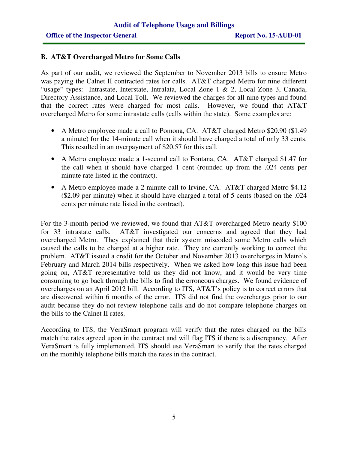#### **B. AT&T Overcharged Metro for Some Calls**

As part of our audit, we reviewed the September to November 2013 bills to ensure Metro was paying the Calnet II contracted rates for calls. AT&T charged Metro for nine different "usage" types: Intrastate, Interstate, Intralata, Local Zone 1 & 2, Local Zone 3, Canada, Directory Assistance, and Local Toll. We reviewed the charges for all nine types and found that the correct rates were charged for most calls. However, we found that AT&T overcharged Metro for some intrastate calls (calls within the state). Some examples are:

- A Metro employee made a call to Pomona, CA. AT&T charged Metro \$20.90 (\$1.49) a minute) for the 14-minute call when it should have charged a total of only 33 cents. This resulted in an overpayment of \$20.57 for this call.
- A Metro employee made a 1-second call to Fontana, CA. AT&T charged \$1.47 for the call when it should have charged 1 cent (rounded up from the .024 cents per minute rate listed in the contract).
- A Metro employee made a 2 minute call to Irvine, CA. AT&T charged Metro \$4.12 (\$2.09 per minute) when it should have charged a total of 5 cents (based on the .024 cents per minute rate listed in the contract).

For the 3-month period we reviewed, we found that AT&T overcharged Metro nearly \$100 for 33 intrastate calls. AT&T investigated our concerns and agreed that they had overcharged Metro. They explained that their system miscoded some Metro calls which caused the calls to be charged at a higher rate. They are currently working to correct the problem. AT&T issued a credit for the October and November 2013 overcharges in Metro's February and March 2014 bills respectively. When we asked how long this issue had been going on, AT&T representative told us they did not know, and it would be very time consuming to go back through the bills to find the erroneous charges. We found evidence of overcharges on an April 2012 bill. According to ITS, AT&T's policy is to correct errors that are discovered within 6 months of the error. ITS did not find the overcharges prior to our audit because they do not review telephone calls and do not compare telephone charges on the bills to the Calnet II rates.

According to ITS, the VeraSmart program will verify that the rates charged on the bills match the rates agreed upon in the contract and will flag ITS if there is a discrepancy. After VeraSmart is fully implemented, ITS should use VeraSmart to verify that the rates charged on the monthly telephone bills match the rates in the contract.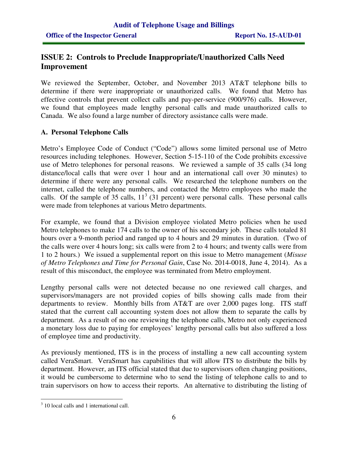## **ISSUE 2: Controls to Preclude Inappropriate/Unauthorized Calls Need Improvement**

We reviewed the September, October, and November 2013 AT&T telephone bills to determine if there were inappropriate or unauthorized calls. We found that Metro has effective controls that prevent collect calls and pay-per-service (900/976) calls. However, we found that employees made lengthy personal calls and made unauthorized calls to Canada. We also found a large number of directory assistance calls were made.

### **A. Personal Telephone Calls**

Metro's Employee Code of Conduct ("Code") allows some limited personal use of Metro resources including telephones. However, Section 5-15-110 of the Code prohibits excessive use of Metro telephones for personal reasons. We reviewed a sample of 35 calls (34 long distance/local calls that were over 1 hour and an international call over 30 minutes) to determine if there were any personal calls. We researched the telephone numbers on the internet, called the telephone numbers, and contacted the Metro employees who made the calls. Of the sample of 35 calls,  $11<sup>3</sup>$  (31 percent) were personal calls. These personal calls were made from telephones at various Metro departments.

For example, we found that a Division employee violated Metro policies when he used Metro telephones to make 174 calls to the owner of his secondary job. These calls totaled 81 hours over a 9-month period and ranged up to 4 hours and 29 minutes in duration. (Two of the calls were over 4 hours long; six calls were from 2 to 4 hours; and twenty calls were from 1 to 2 hours.) We issued a supplemental report on this issue to Metro management (*Misuse of Metro Telephones and Time for Personal Gain*, Case No. 2014-0018, June 4, 2014). As a result of this misconduct, the employee was terminated from Metro employment.

Lengthy personal calls were not detected because no one reviewed call charges, and supervisors/managers are not provided copies of bills showing calls made from their departments to review. Monthly bills from AT&T are over 2,000 pages long. ITS staff stated that the current call accounting system does not allow them to separate the calls by department. As a result of no one reviewing the telephone calls, Metro not only experienced a monetary loss due to paying for employees' lengthy personal calls but also suffered a loss of employee time and productivity.

As previously mentioned, ITS is in the process of installing a new call accounting system called VeraSmart. VeraSmart has capabilities that will allow ITS to distribute the bills by department. However, an ITS official stated that due to supervisors often changing positions, it would be cumbersome to determine who to send the listing of telephone calls to and to train supervisors on how to access their reports. An alternative to distributing the listing of

 $\overline{a}$ <sup>3</sup> 10 local calls and 1 international call.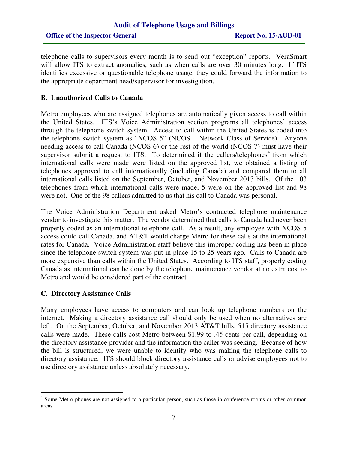## **Audit of Telephone Usage and Billings Office of the Inspector General Report No. 15-AUD-01**

telephone calls to supervisors every month is to send out "exception" reports. VeraSmart will allow ITS to extract anomalies, such as when calls are over 30 minutes long. If ITS identifies excessive or questionable telephone usage, they could forward the information to the appropriate department head/supervisor for investigation.

#### **B. Unauthorized Calls to Canada**

Metro employees who are assigned telephones are automatically given access to call within the United States. ITS's Voice Administration section programs all telephones' access through the telephone switch system. Access to call within the United States is coded into the telephone switch system as "NCOS 5" (NCOS – Network Class of Service). Anyone needing access to call Canada (NCOS 6) or the rest of the world (NCOS 7) must have their supervisor submit a request to ITS. To determined if the callers/telephones<sup>4</sup> from which international calls were made were listed on the approved list, we obtained a listing of telephones approved to call internationally (including Canada) and compared them to all international calls listed on the September, October, and November 2013 bills. Of the 103 telephones from which international calls were made, 5 were on the approved list and 98 were not. One of the 98 callers admitted to us that his call to Canada was personal.

The Voice Administration Department asked Metro's contracted telephone maintenance vendor to investigate this matter. The vendor determined that calls to Canada had never been properly coded as an international telephone call. As a result, any employee with NCOS 5 access could call Canada, and AT&T would charge Metro for these calls at the international rates for Canada. Voice Administration staff believe this improper coding has been in place since the telephone switch system was put in place 15 to 25 years ago. Calls to Canada are more expensive than calls within the United States. According to ITS staff, properly coding Canada as international can be done by the telephone maintenance vendor at no extra cost to Metro and would be considered part of the contract.

#### **C. Directory Assistance Calls**

Many employees have access to computers and can look up telephone numbers on the internet. Making a directory assistance call should only be used when no alternatives are left. On the September, October, and November 2013 AT&T bills, 515 directory assistance calls were made. These calls cost Metro between \$1.99 to .45 cents per call, depending on the directory assistance provider and the information the caller was seeking. Because of how the bill is structured, we were unable to identify who was making the telephone calls to directory assistance. ITS should block directory assistance calls or advise employees not to use directory assistance unless absolutely necessary.

<sup>&</sup>lt;sup>4</sup> Some Metro phones are not assigned to a particular person, such as those in conference rooms or other common areas.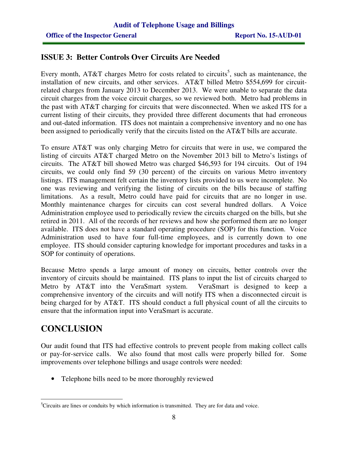## **ISSUE 3: Better Controls Over Circuits Are Needed**

Every month,  $AT&T$  charges Metro for costs related to circuits<sup>5</sup>, such as maintenance, the installation of new circuits, and other services. AT&T billed Metro \$554,699 for circuitrelated charges from January 2013 to December 2013. We were unable to separate the data circuit charges from the voice circuit charges, so we reviewed both. Metro had problems in the past with AT&T charging for circuits that were disconnected. When we asked ITS for a current listing of their circuits, they provided three different documents that had erroneous and out-dated information. ITS does not maintain a comprehensive inventory and no one has been assigned to periodically verify that the circuits listed on the AT&T bills are accurate.

To ensure AT&T was only charging Metro for circuits that were in use, we compared the listing of circuits AT&T charged Metro on the November 2013 bill to Metro's listings of circuits. The AT&T bill showed Metro was charged \$46,593 for 194 circuits. Out of 194 circuits, we could only find 59 (30 percent) of the circuits on various Metro inventory listings. ITS management felt certain the inventory lists provided to us were incomplete. No one was reviewing and verifying the listing of circuits on the bills because of staffing limitations. As a result, Metro could have paid for circuits that are no longer in use. Monthly maintenance charges for circuits can cost several hundred dollars. A Voice Administration employee used to periodically review the circuits charged on the bills, but she retired in 2011. All of the records of her reviews and how she performed them are no longer available. ITS does not have a standard operating procedure (SOP) for this function. Voice Administration used to have four full-time employees, and is currently down to one employee. ITS should consider capturing knowledge for important procedures and tasks in a SOP for continuity of operations.

Because Metro spends a large amount of money on circuits, better controls over the inventory of circuits should be maintained. ITS plans to input the list of circuits charged to Metro by AT&T into the VeraSmart system. VeraSmart is designed to keep a comprehensive inventory of the circuits and will notify ITS when a disconnected circuit is being charged for by AT&T. ITS should conduct a full physical count of all the circuits to ensure that the information input into VeraSmart is accurate.

# **CONCLUSION**

Our audit found that ITS had effective controls to prevent people from making collect calls or pay-for-service calls. We also found that most calls were properly billed for. Some improvements over telephone billings and usage controls were needed:

• Telephone bills need to be more thoroughly reviewed

 $\overline{a}$ <sup>5</sup>Circuits are lines or conduits by which information is transmitted. They are for data and voice.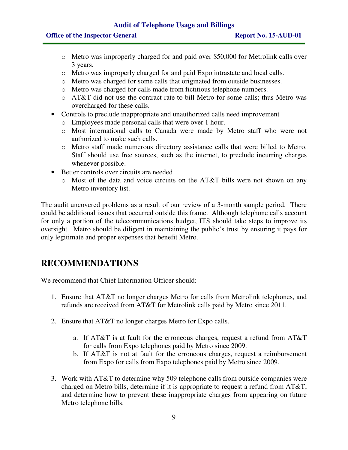#### **Audit of Telephone Usage and Billings**

#### **Office of the Inspector General Report No. 15-AUD-01**

- o Metro was improperly charged for and paid over \$50,000 for Metrolink calls over 3 years.
- o Metro was improperly charged for and paid Expo intrastate and local calls.
- o Metro was charged for some calls that originated from outside businesses.
- o Metro was charged for calls made from fictitious telephone numbers.
- $\circ$  AT&T did not use the contract rate to bill Metro for some calls; thus Metro was overcharged for these calls.
- Controls to preclude inappropriate and unauthorized calls need improvement
	- o Employees made personal calls that were over 1 hour.
	- o Most international calls to Canada were made by Metro staff who were not authorized to make such calls.
	- o Metro staff made numerous directory assistance calls that were billed to Metro. Staff should use free sources, such as the internet, to preclude incurring charges whenever possible.
- Better controls over circuits are needed
	- o Most of the data and voice circuits on the AT&T bills were not shown on any Metro inventory list.

The audit uncovered problems as a result of our review of a 3-month sample period. There could be additional issues that occurred outside this frame. Although telephone calls account for only a portion of the telecommunications budget, ITS should take steps to improve its oversight. Metro should be diligent in maintaining the public's trust by ensuring it pays for only legitimate and proper expenses that benefit Metro.

# **RECOMMENDATIONS**

We recommend that Chief Information Officer should:

- 1. Ensure that AT&T no longer charges Metro for calls from Metrolink telephones, and refunds are received from AT&T for Metrolink calls paid by Metro since 2011.
- 2. Ensure that AT&T no longer charges Metro for Expo calls.
	- a. If AT&T is at fault for the erroneous charges, request a refund from AT&T for calls from Expo telephones paid by Metro since 2009.
	- b. If AT&T is not at fault for the erroneous charges, request a reimbursement from Expo for calls from Expo telephones paid by Metro since 2009.
- 3. Work with AT&T to determine why 509 telephone calls from outside companies were charged on Metro bills, determine if it is appropriate to request a refund from AT&T, and determine how to prevent these inappropriate charges from appearing on future Metro telephone bills.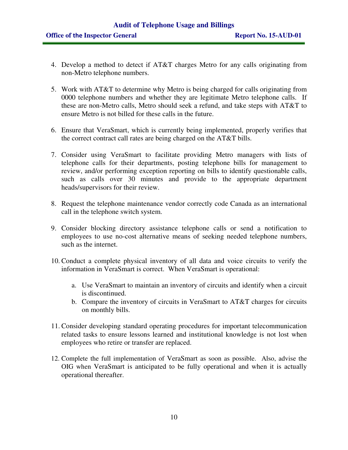- 4. Develop a method to detect if AT&T charges Metro for any calls originating from non-Metro telephone numbers.
- 5. Work with AT&T to determine why Metro is being charged for calls originating from 0000 telephone numbers and whether they are legitimate Metro telephone calls. If these are non-Metro calls, Metro should seek a refund, and take steps with AT&T to ensure Metro is not billed for these calls in the future.
- 6. Ensure that VeraSmart, which is currently being implemented, properly verifies that the correct contract call rates are being charged on the AT&T bills.
- 7. Consider using VeraSmart to facilitate providing Metro managers with lists of telephone calls for their departments, posting telephone bills for management to review, and/or performing exception reporting on bills to identify questionable calls, such as calls over 30 minutes and provide to the appropriate department heads/supervisors for their review.
- 8. Request the telephone maintenance vendor correctly code Canada as an international call in the telephone switch system.
- 9. Consider blocking directory assistance telephone calls or send a notification to employees to use no-cost alternative means of seeking needed telephone numbers, such as the internet.
- 10. Conduct a complete physical inventory of all data and voice circuits to verify the information in VeraSmart is correct. When VeraSmart is operational:
	- a. Use VeraSmart to maintain an inventory of circuits and identify when a circuit is discontinued.
	- b. Compare the inventory of circuits in VeraSmart to AT&T charges for circuits on monthly bills.
- 11. Consider developing standard operating procedures for important telecommunication related tasks to ensure lessons learned and institutional knowledge is not lost when employees who retire or transfer are replaced.
- 12. Complete the full implementation of VeraSmart as soon as possible. Also, advise the OIG when VeraSmart is anticipated to be fully operational and when it is actually operational thereafter.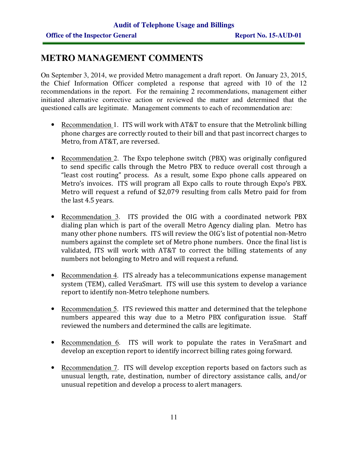## **METRO MANAGEMENT COMMENTS**

On September 3, 2014, we provided Metro management a draft report. On January 23, 2015, the Chief Information Officer completed a response that agreed with 10 of the 12 recommendations in the report. For the remaining 2 recommendations, management either initiated alternative corrective action or reviewed the matter and determined that the questioned calls are legitimate. Management comments to each of recommendation are:

- Recommendation 1. ITS will work with AT&T to ensure that the Metrolink billing phone charges are correctly routed to their bill and that past incorrect charges to Metro, from AT&T, are reversed.
- Recommendation 2. The Expo telephone switch (PBX) was originally configured to send specific calls through the Metro PBX to reduce overall cost through a "least cost routing" process. As a result, some Expo phone calls appeared on Metro's invoices. ITS will program all Expo calls to route through Expo's PBX. Metro will request a refund of \$2,079 resulting from calls Metro paid for from the last 4.5 years.
- Recommendation 3. ITS provided the OIG with a coordinated network PBX dialing plan which is part of the overall Metro Agency dialing plan. Metro has many other phone numbers. ITS will review the OIG's list of potential non-Metro numbers against the complete set of Metro phone numbers. Once the final list is validated, ITS will work with AT&T to correct the billing statements of any numbers not belonging to Metro and will request a refund.
- Recommendation 4. ITS already has a telecommunications expense management system (TEM), called VeraSmart. ITS will use this system to develop a variance report to identify non-Metro telephone numbers.
- Recommendation 5. ITS reviewed this matter and determined that the telephone numbers appeared this way due to a Metro PBX configuration issue. Staff reviewed the numbers and determined the calls are legitimate.
- Recommendation 6. ITS will work to populate the rates in VeraSmart and develop an exception report to identify incorrect billing rates going forward.
- Recommendation 7. ITS will develop exception reports based on factors such as unusual length, rate, destination, number of directory assistance calls, and/or unusual repetition and develop a process to alert managers.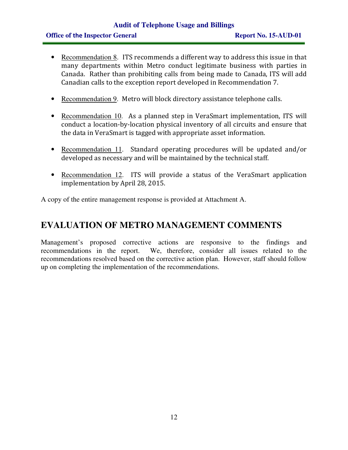## **Audit of Telephone Usage and Billings Office of the Inspector General Report No. 15-AUD-01**

- Recommendation 8. ITS recommends a different way to address this issue in that many departments within Metro conduct legitimate business with parties in Canada. Rather than prohibiting calls from being made to Canada, ITS will add Canadian calls to the exception report developed in Recommendation 7.
- Recommendation 9. Metro will block directory assistance telephone calls.
- Recommendation 10. As a planned step in VeraSmart implementation, ITS will conduct a location-by-location physical inventory of all circuits and ensure that the data in VeraSmart is tagged with appropriate asset information.
- Recommendation 11. Standard operating procedures will be updated and/or developed as necessary and will be maintained by the technical staff.
- Recommendation 12. ITS will provide a status of the VeraSmart application implementation by April 28, 2015.

A copy of the entire management response is provided at Attachment A.

## **EVALUATION OF METRO MANAGEMENT COMMENTS**

Management's proposed corrective actions are responsive to the findings and recommendations in the report. We, therefore, consider all issues related to the recommendations resolved based on the corrective action plan. However, staff should follow up on completing the implementation of the recommendations.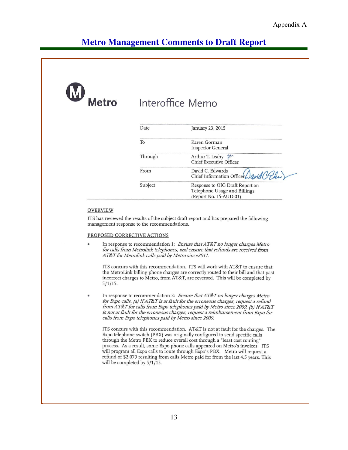| W<br><b>Metro</b> |         | Interoffice Memo                                                                          |
|-------------------|---------|-------------------------------------------------------------------------------------------|
|                   | Date    | January 23, 2015                                                                          |
|                   | To      | Karen Gorman<br><b>Inspector General</b>                                                  |
|                   | Through | Arthur T. Leahy M<br>Chief Executive Officer                                              |
|                   | From    | David C. Edwards<br>Chief Information Officer                                             |
|                   | Subject | Response to OIG Draft Report on<br>Telephone Usage and Billings<br>(Report No. 15-AUD-01) |

#### **OVERVIEW**

ITS has reviewed the results of the subject draft report and has prepared the following management response to the recommendations.

#### PROPOSED CORRECTIVE ACTIONS

In response to recommendation 1: Ensure that AT&T no longer charges Metro for calls from Metrolink telephones, and ensure that refunds are received from AT&T for Metrolink calls paid by Metro since2011.

ITS concurs with this recommendation. ITS will work with AT&T to ensure that the MetroLink billing phone charges are correctly routed to their bill and that past incorrect charges to Metro, from AT&T, are reversed. This will be completed by  $5/1/15$ .

In response to recommendation 2: Ensure that AT&T no longer charges Metro for Expo calls. (a) If AT&T is at fault for the erroneous charges, request a refund from AT&T for calls from Expo telephones paid by Metro since 2009. (b) If AT&T is not at fault for the erroneous charges, request a reimbursement from Expo for calls from Expo telephones paid by Metro since 2009.

ITS concurs with this recommendation. AT&T is not at fault for the charges. The Expo telephone switch (PBX) was originally configured to send specific calls through the Metro PBX to reduce overall cost through a "least cost routing" process. As a result, some Expo phone calls appeared on Metro's invoices. ITS will program all Expo calls to route through Expo's PBX. Metro will request a refund of \$2,079 resulting from calls Metro paid for from the last 4.5 years. This will be completed by 5/1/15.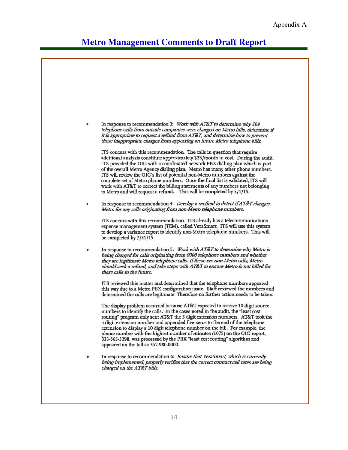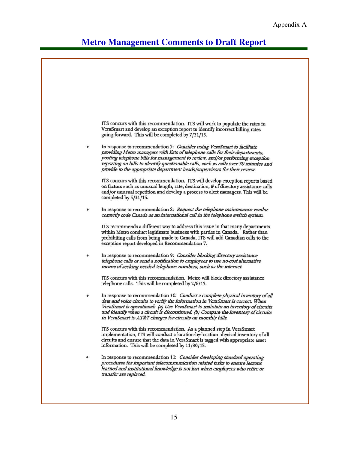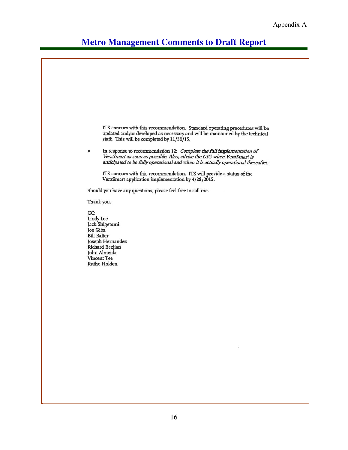